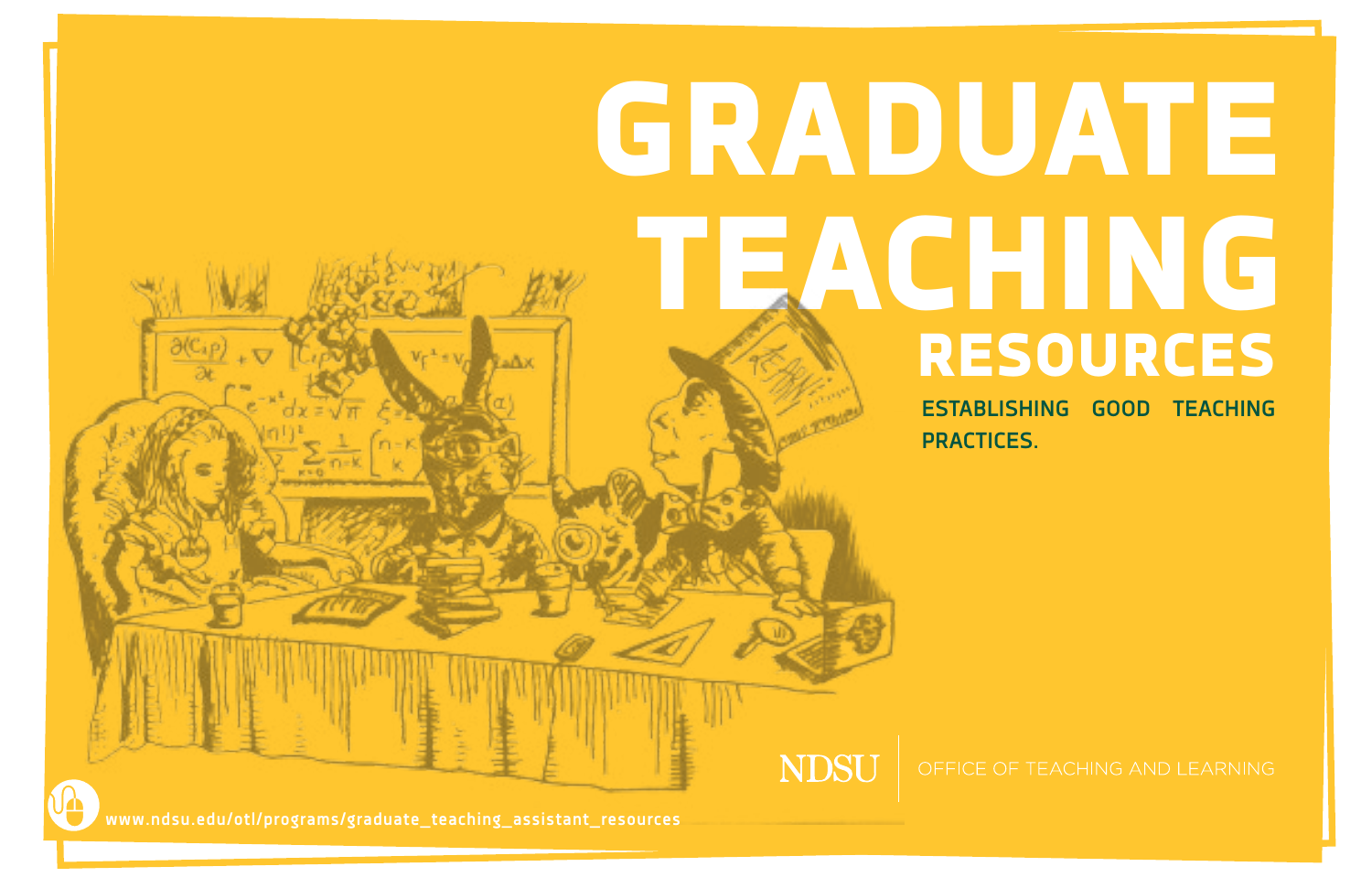# GRADUATE TEACHING RESOURCES

**ESTABLISHING GOOD TEACHING PRACTICES.**

**NDSU** 

www.ndsu.edu/otl/programs/graduate\_teaching\_assistant\_resources